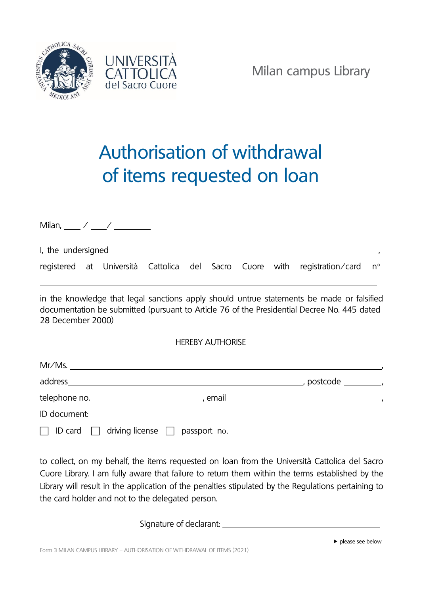



Milan campus Library

## Authorisation of withdrawal of items requested on loan

Milan, / / I, the undersigned  $\frac{1}{2}$ registered at Università Cattolica del Sacro Cuore with registration/card n°

in the knowledge that legal sanctions apply should untrue statements be made or falsified documentation be submitted (pursuant to Article 76 of the Presidential Decree No. 445 dated 28 December 2000)

HEREBY AUTHORISE

| Mr/Ms.                                        |            |
|-----------------------------------------------|------------|
| address                                       | , postcode |
| telephone no. ____________________<br>, email |            |
| ID document:                                  |            |
| driving license $\square$<br>ID card $\Box$   |            |

to collect, on my behalf, the items requested on loan from the Università Cattolica del Sacro Cuore Library. I am fully aware that failure to return them within the terms established by the Library will result in the application of the penalties stipulated by the Regulations pertaining to the card holder and not to the delegated person.

Signature of declarant: